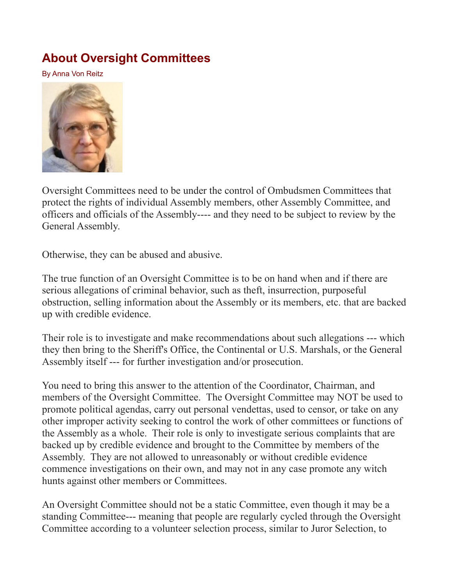## **[About Oversight Committees](http://www.paulstramer.net/2021/09/about-oversight-committees.html)**

By Anna Von Reitz



Oversight Committees need to be under the control of Ombudsmen Committees that protect the rights of individual Assembly members, other Assembly Committee, and officers and officials of the Assembly---- and they need to be subject to review by the General Assembly.

Otherwise, they can be abused and abusive.

The true function of an Oversight Committee is to be on hand when and if there are serious allegations of criminal behavior, such as theft, insurrection, purposeful obstruction, selling information about the Assembly or its members, etc. that are backed up with credible evidence.

Their role is to investigate and make recommendations about such allegations --- which they then bring to the Sheriff's Office, the Continental or U.S. Marshals, or the General Assembly itself --- for further investigation and/or prosecution.

You need to bring this answer to the attention of the Coordinator, Chairman, and members of the Oversight Committee. The Oversight Committee may NOT be used to promote political agendas, carry out personal vendettas, used to censor, or take on any other improper activity seeking to control the work of other committees or functions of the Assembly as a whole. Their role is only to investigate serious complaints that are backed up by credible evidence and brought to the Committee by members of the Assembly. They are not allowed to unreasonably or without credible evidence commence investigations on their own, and may not in any case promote any witch hunts against other members or Committees.

An Oversight Committee should not be a static Committee, even though it may be a standing Committee--- meaning that people are regularly cycled through the Oversight Committee according to a volunteer selection process, similar to Juror Selection, to